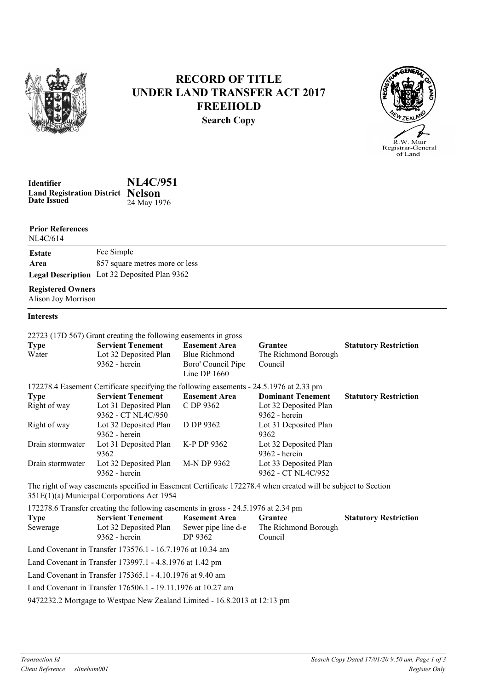

# RECORD OF TITLE UNDER LAND TRANSFER ACT 2017 FREEHOLD Search Copy



Date Issued Identifier NL4C/951 Land Registration District Nelson 24 May 1976

Prior References

| NL4C/614      |                                                     |
|---------------|-----------------------------------------------------|
| <b>Estate</b> | Fee Simple                                          |
| Area          | 857 square metres more or less                      |
|               | <b>Legal Description</b> Lot 32 Deposited Plan 9362 |

### Registered Owners

Alison Joy Morrison

### Interests

|                                                                                                               | 22723 (17D 567) Grant creating the following easements in gross |                      |                          |                              |  |  |
|---------------------------------------------------------------------------------------------------------------|-----------------------------------------------------------------|----------------------|--------------------------|------------------------------|--|--|
| <b>Type</b>                                                                                                   | <b>Servient Tenement</b>                                        | <b>Easement Area</b> | <b>Grantee</b>           | <b>Statutory Restriction</b> |  |  |
| Water                                                                                                         | Lot 32 Deposited Plan                                           | <b>Blue Richmond</b> | The Richmond Borough     |                              |  |  |
|                                                                                                               | 9362 - herein                                                   | Boro' Council Pipe   | Council                  |                              |  |  |
|                                                                                                               |                                                                 | Line DP $1660$       |                          |                              |  |  |
| 172278.4 Easement Certificate specifying the following easements - 24.5.1976 at 2.33 pm                       |                                                                 |                      |                          |                              |  |  |
| <b>Type</b>                                                                                                   | <b>Servient Tenement</b>                                        | <b>Easement Area</b> | <b>Dominant Tenement</b> | <b>Statutory Restriction</b> |  |  |
| Right of way                                                                                                  | Lot 31 Deposited Plan                                           | C DP 9362            | Lot 32 Deposited Plan    |                              |  |  |
|                                                                                                               | 9362 - CT NL4C/950                                              |                      | 9362 - herein            |                              |  |  |
| Right of way                                                                                                  | Lot 32 Deposited Plan                                           | D DP 9362            | Lot 31 Deposited Plan    |                              |  |  |
|                                                                                                               | 9362 - herein                                                   |                      | 9362                     |                              |  |  |
| Drain stormwater                                                                                              | Lot 31 Deposited Plan                                           | K-P DP 9362          | Lot 32 Deposited Plan    |                              |  |  |
|                                                                                                               | 9362                                                            |                      | 9362 - herein            |                              |  |  |
| Drain stormwater                                                                                              | Lot 32 Deposited Plan                                           | M-N DP 9362          | Lot 33 Deposited Plan    |                              |  |  |
|                                                                                                               | 9362 - herein                                                   |                      | 9362 - CT NL4C/952       |                              |  |  |
| The right of way easements specified in Easement Certificate 172278.4 when created will be subject to Section |                                                                 |                      |                          |                              |  |  |
| 351E(1)(a) Municipal Corporations Act 1954                                                                    |                                                                 |                      |                          |                              |  |  |
| 172278.6 Transfer creating the following easements in gross - 24.5.1976 at 2.34 pm                            |                                                                 |                      |                          |                              |  |  |
| <b>Type</b>                                                                                                   | <b>Servient Tenement</b>                                        | <b>Easement Area</b> | <b>Grantee</b>           | <b>Statutory Restriction</b> |  |  |
| Sewerage                                                                                                      | Lot 32 Deposited Plan                                           | Sewer pipe line d-e  | The Richmond Borough     |                              |  |  |
|                                                                                                               | 9362 - herein                                                   | DP 9362              | Council                  |                              |  |  |
| Land Covenant in Transfer 173576.1 - 16.7.1976 at 10.34 am                                                    |                                                                 |                      |                          |                              |  |  |
| Land Covenant in Transfer 173997.1 - 4.8.1976 at 1.42 pm                                                      |                                                                 |                      |                          |                              |  |  |
| Land Covenant in Transfer 175365.1 - 4.10.1976 at 9.40 am                                                     |                                                                 |                      |                          |                              |  |  |
| Land Covenant in Transfer 176506.1 - 19.11.1976 at 10.27 am                                                   |                                                                 |                      |                          |                              |  |  |
| 9472232.2 Mortgage to Westpac New Zealand Limited - 16.8.2013 at 12:13 pm                                     |                                                                 |                      |                          |                              |  |  |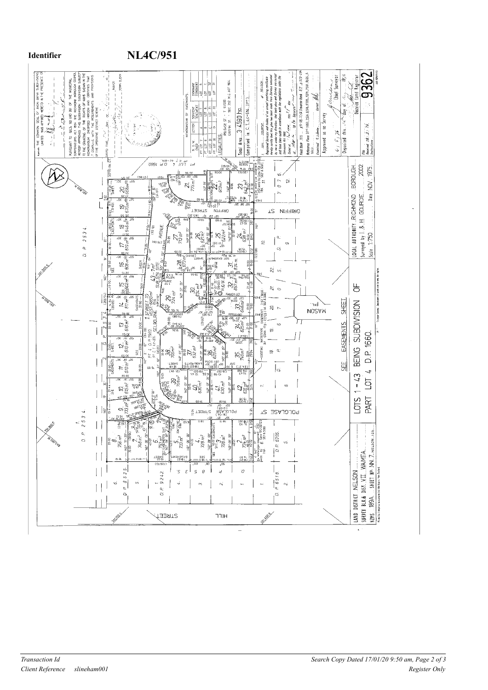

## Identifier NL4C/951